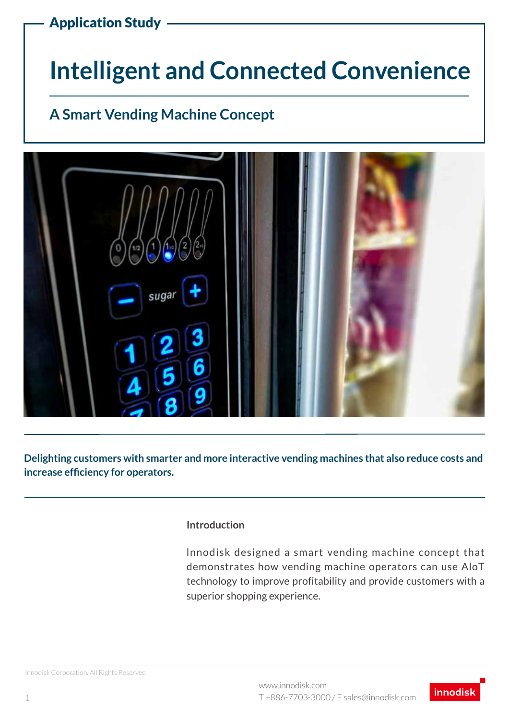# **Intelligent and Connected Convenience**

## **A Smart Vending Machine Concept**



**Delighting customers with smarter and more interactive vending machines that also reduce costs and increase efficiency for operators.**

#### **Introduction**

lnnodisk designed a smart vending machine concept that demonstrates how vending machine operators can use AloT technology to improve profitability and provide customers with a superior shopping experience.

Innodisk Corporation. All Rights Reserved